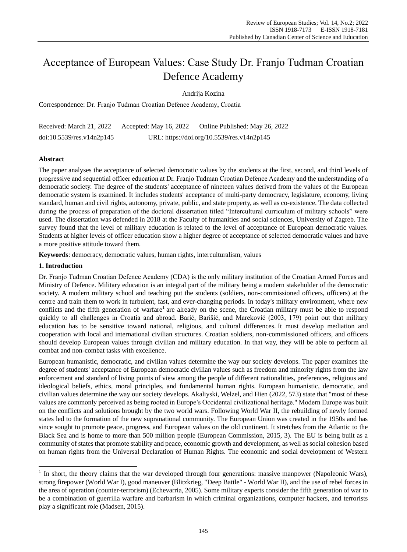# Acceptance of European Values: Case Study Dr. Franjo Tuđman Croatian Defence Academy

Andrija Kozina

Correspondence: Dr. Franjo Tuđman Croatian Defence Academy, Croatia

Received: March 21, 2022 Accepted: May 16, 2022 Online Published: May 26, 2022 doi:10.5539/res.v14n2p145 URL: https://doi.org/10.5539/res.v14n2p145

# **Abstract**

The paper analyses the acceptance of selected democratic values by the students at the first, second, and third levels of progressive and sequential officer education at Dr. Franjo Tuđman Croatian Defence Academy and the understanding of a democratic society. The degree of the students' acceptance of nineteen values derived from the values of the European democratic system is examined. It includes students' acceptance of multi-party democracy, legislature, economy, living standard, human and civil rights, autonomy, private, public, and state property, as well as co-existence. The data collected during the process of preparation of the doctoral dissertation titled "Intercultural curriculum of military schools" were used. The dissertation was defended in 2018 at the Faculty of humanities and social sciences, University of Zagreb. The survey found that the level of military education is related to the level of acceptance of European democratic values. Students at higher levels of officer education show a higher degree of acceptance of selected democratic values and have a more positive attitude toward them.

**Keywords**: democracy, democratic values, human rights, interculturalism, values

## **1. Introduction**

 $\overline{a}$ 

Dr. Franjo Tuđman Croatian Defence Academy (CDA) is the only military institution of the Croatian Armed Forces and Ministry of Defence. Military education is an integral part of the military being a modern stakeholder of the democratic society. A modern military school and teaching put the students (soldiers, non-commissioned officers, officers) at the centre and train them to work in turbulent, fast, and ever-changing periods. In today's military environment, where new conflicts and the fifth generation of warfare<sup>1</sup> are already on the scene, the Croatian military must be able to respond quickly to all challenges in Croatia and abroad. Barić, Barišić, and Mareković (2003, 179) point out that military education has to be sensitive toward national, religious, and cultural differences. It must develop mediation and cooperation with local and international civilian structures. Croatian soldiers, non-commissioned officers, and officers should develop European values through civilian and military education. In that way, they will be able to perform all combat and non-combat tasks with excellence.

European humanistic, democratic, and civilian values determine the way our society develops. The paper examines the degree of students' acceptance of European democratic civilian values such as freedom and minority rights from the law enforcement and standard of living points of view among the people of different nationalities, preferences, religious and ideological beliefs, ethics, moral principles, and fundamental human rights. European humanistic, democratic, and civilian values determine the way our society develops. Akaliyski, Welzel, and Hien (2022, 573) state that "most of these values are commonly perceived as being rooted in Europe's Occidental civilizational heritage." Modern Europe was built on the conflicts and solutions brought by the two world wars. Following World War II, the rebuilding of newly formed states led to the formation of the new supranational community. The European Union was created in the 1950s and has since sought to promote peace, progress, and European values on the old continent. It stretches from the Atlantic to the Black Sea and is home to more than 500 million people (European Commission, 2015, 3). The EU is being built as a community of states that promote stability and peace, economic growth and development, as well as social cohesion based on human rights from the Universal Declaration of Human Rights. The economic and social development of Western

 $<sup>1</sup>$  In short, the theory claims that the war developed through four generations: massive manpower (Napoleonic Wars),</sup> strong firepower (World War I), good maneuver (Blitzkrieg, "Deep Battle" - World War II), and the use of rebel forces in the area of operation (counter-terrorism) (Echevarria, 2005). Some military experts consider the fifth generation of war to be a combination of guerrilla warfare and barbarism in which criminal organizations, computer hackers, and terrorists play a significant role (Madsen, 2015).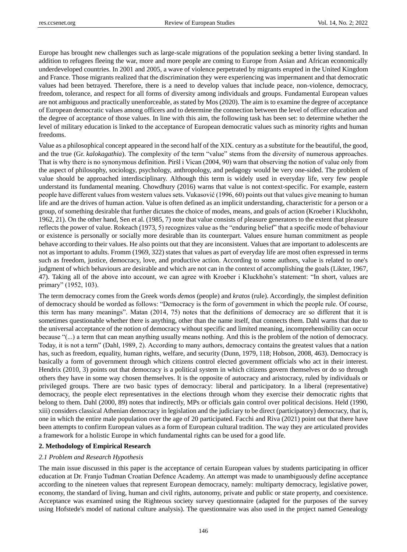Europe has brought new challenges such as large-scale migrations of the population seeking a better living standard. In addition to refugees fleeing the war, more and more people are coming to Europe from Asian and African economically underdeveloped countries. In 2001 and 2005, a wave of violence perpetrated by migrants erupted in the United Kingdom and France. Those migrants realized that the discrimination they were experiencing was impermanent and that democratic values had been betrayed. Therefore, there is a need to develop values that include peace, non-violence, democracy, freedom, tolerance, and respect for all forms of diversity among individuals and groups. Fundamental European values are not ambiguous and practically unenforceable, as stated by Mos (2020). The aim is to examine the degree of acceptance of European democratic values among officers and to determine the connection between the level of officer education and the degree of acceptance of those values. In line with this aim, the following task has been set: to determine whether the level of military education is linked to the acceptance of European democratic values such as minority rights and human freedoms.

Value as a philosophical concept appeared in the second half of the XIX. century as a substitute for the beautiful, the good, and the true (Gr. *kalokagathia*). The complexity of the term "value" stems from the diversity of numerous approaches. That is why there is no synonymous definition. Piršl i Vican (2004, 90) warn that observing the notion of value only from the aspect of philosophy, sociology, psychology, anthropology, and pedagogy would be very one-sided. The problem of value should be approached interdisciplinary. Although this term is widely used in everyday life, very few people understand its fundamental meaning. Chowdhury (2016) warns that value is not context-specific. For example, eastern people have different values from western values sets. Vukasović (1996, 60) points out that values give meaning to human life and are the drives of human action. Value is often defined as an implicit understanding, characteristic for a person or a group, of something desirable that further dictates the choice of modes, means, and goals of action (Kroeber i Kluckhohn, 1962, 21). On the other hand, Sen et al. (1985, 7) note that value consists of pleasure generators to the extent that pleasure reflects the power of value. Rokeach (1973, 5) recognizes value as the "enduring belief" that a specific mode of behaviour or existence is personally or socially more desirable than its counterpart. Values ensure human commitment as people behave according to their values. He also points out that they are inconsistent. Values that are important to adolescents are not as important to adults. Fromm (1969, 322) states that values as part of everyday life are most often expressed in terms such as freedom, justice, democracy, love, and productive action. According to some authors, value is related to one's judgment of which behaviours are desirable and which are not can in the context of accomplishing the goals (Likter, 1967, 47). Taking all of the above into account, we can agree with Kroeber i Kluckhohn's statement: "In short, values are primary" (1952, 103).

The term democracy comes from the Greek words *demos* (people) and *kratos* (rule). Accordingly, the simplest definition of democracy should be worded as follows: "Democracy is the form of government in which the people rule. Of course, this term has many meanings". Matan (2014, 75) notes that the definitions of democracy are so different that it is sometimes questionable whether there is anything, other than the name itself, that connects them. Dahl warns that due to the universal acceptance of the notion of democracy without specific and limited meaning, incomprehensibility can occur because "(...) a term that can mean anything usually means nothing. And this is the problem of the notion of democracy. Today, it is not a term" (Dahl, 1989, 2). According to many authors, democracy contains the greatest values that a nation has, such as freedom, equality, human rights, welfare, and security (Dunn, 1979, 118; Hobson, 2008, 463). Democracy is basically a form of government through which citizens control elected government officials who act in their interest. Hendrix (2010, 3) points out that democracy is a political system in which citizens govern themselves or do so through others they have in some way chosen themselves. It is the opposite of autocracy and aristocracy, ruled by individuals or privileged groups. There are two basic types of democracy: liberal and participatory. In a liberal (representative) democracy, the people elect representatives in the elections through whom they exercise their democratic rights that belong to them. Dahl (2000, 89) notes that indirectly, MPs or officials gain control over political decisions. Held (1990, xiii) considers classical Athenian democracy in legislation and the judiciary to be direct (participatory) democracy, that is, one in which the entire male population over the age of 20 participated. Facchi and Riva (2021) point out that there have been attempts to confirm European values as a form of European cultural tradition. The way they are articulated provides a framework for a holistic Europe in which fundamental rights can be used for a good life.

#### **2. Methodology of Empirical Research**

#### *2.1 Problem and Research Hypothesis*

The main issue discussed in this paper is the acceptance of certain European values by students participating in officer education at Dr. Franjo Tuđman Croatian Defence Academy. An attempt was made to unambiguously define acceptance according to the nineteen values that represent European democracy, namely: multiparty democracy, legislative power, economy, the standard of living, human and civil rights, autonomy, private and public or state property, and coexistence. Acceptance was examined using the Righteous society survey questionnaire (adapted for the purposes of the survey using Hofstede's model of national culture analysis). The questionnaire was also used in the project named Genealogy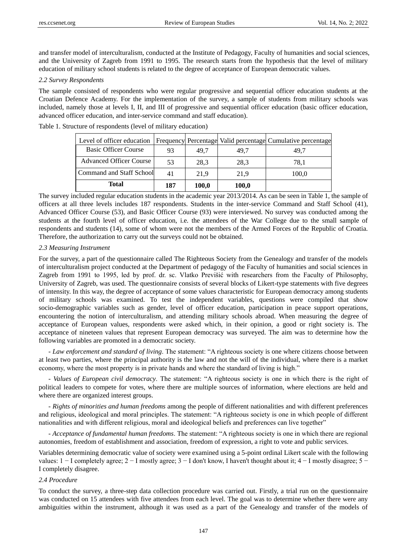and transfer model of interculturalism, conducted at the Institute of Pedagogy, Faculty of humanities and social sciences, and the University of Zagreb from 1991 to 1995. The research starts from the hypothesis that the level of military education of military school students is related to the degree of acceptance of European democratic values.

#### *2.2 Survey Respondents*

The sample consisted of respondents who were regular progressive and sequential officer education students at the Croatian Defence Academy. For the implementation of the survey, a sample of students from military schools was included, namely those at levels I, II, and III of progressive and sequential officer education (basic officer education, advanced officer education, and inter-service command and staff education).

| <b>Total</b>                    | 187 | 100,0 | 100,0 |                                                             |
|---------------------------------|-----|-------|-------|-------------------------------------------------------------|
| <b>Command and Staff School</b> | 41  | 21.9  | 21,9  | 100,0                                                       |
| Advanced Officer Course         | 53  | 28.3  | 28,3  | 78,1                                                        |
| <b>Basic Officer Course</b>     | 93  | 49.7  | 49.7  | 49.7                                                        |
| Level of officer education      |     |       |       | Frequency Percentage Valid percentage Cumulative percentage |

Table 1. Structure of respondents (level of military education)

The survey included regular education students in the academic year 2013/2014. As can be seen in Table 1, the sample of officers at all three levels includes 187 respondents. Students in the inter-service Command and Staff School (41), Advanced Officer Course (53), and Basic Officer Course (93) were interviewed. No survey was conducted among the students at the fourth level of officer education, i.e. the attendees of the War College due to the small sample of respondents and students (14), some of whom were not the members of the Armed Forces of the Republic of Croatia. Therefore, the authorization to carry out the surveys could not be obtained.

#### *2.3 Measuring Instrument*

For the survey, a part of the questionnaire called The Righteous Society from the Genealogy and transfer of the models of interculturalism project conducted at the Department of pedagogy of the Faculty of humanities and social sciences in Zagreb from 1991 to 1995, led by prof. dr. sc. Vlatko Previšić with researchers from the Faculty of Philosophy, University of Zagreb, was used. The questionnaire consists of several blocks of Likert-type statements with five degrees of intensity. In this way, the degree of acceptance of some values characteristic for European democracy among students of military schools was examined. To test the independent variables, questions were compiled that show socio-demographic variables such as gender, level of officer education, participation in peace support operations, encountering the notion of interculturalism, and attending military schools abroad. When measuring the degree of acceptance of European values, respondents were asked which, in their opinion, a good or right society is. The acceptance of nineteen values that represent European democracy was surveyed. The aim was to determine how the following variables are promoted in a democratic society.

- *Law enforcement and standard of living*. The statement: "A righteous society is one where citizens choose between at least two parties, where the principal authority is the law and not the will of the individual, where there is a market economy, where the most property is in private hands and where the standard of living is high."

- *Values of European civil democracy*. The statement: "A righteous society is one in which there is the right of political leaders to compete for votes, where there are multiple sources of information, where elections are held and where there are organized interest groups.

- *Rights of minorities and human freedoms* among the people of different nationalities and with different preferences and religious, ideological and moral principles. The statement: "A righteous society is one in which people of different nationalities and with different religious, moral and ideological beliefs and preferences can live together"

*- Acceptance of fundamental human freedoms*. The statement: "A righteous society is one in which there are regional autonomies, freedom of establishment and association, freedom of expression, a right to vote and public services.

Variables determining democratic value of society were examined using a 5-point ordinal Likert scale with the following values: 1 − I completely agree; 2 − I mostly agree; 3 − I don't know, I haven't thought about it; 4 − I mostly disagree; 5 − I completely disagree.

#### *2.4 Procedure*

To conduct the survey, a three-step data collection procedure was carried out. Firstly, a trial run on the questionnaire was conducted on 15 attendees with five attendees from each level. The goal was to determine whether there were any ambiguities within the instrument, although it was used as a part of the Genealogy and transfer of the models of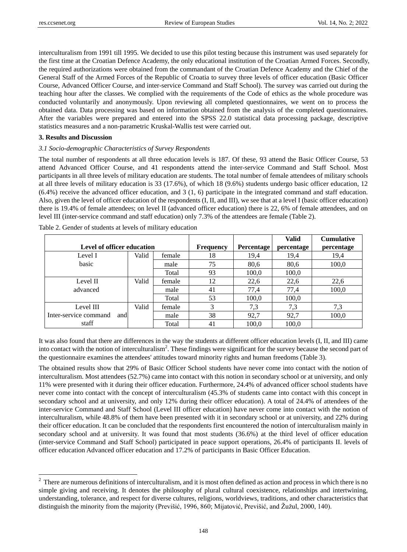interculturalism from 1991 till 1995. We decided to use this pilot testing because this instrument was used separately for the first time at the Croatian Defence Academy, the only educational institution of the Croatian Armed Forces. Secondly, the required authorizations were obtained from the commandant of the Croatian Defence Academy and the Chief of the General Staff of the Armed Forces of the Republic of Croatia to survey three levels of officer education (Basic Officer Course, Advanced Officer Course, and inter-service Command and Staff School). The survey was carried out during the teaching hour after the classes. We complied with the requirements of the Code of ethics as the whole procedure was conducted voluntarily and anonymously. Upon reviewing all completed questionnaires, we went on to process the obtained data. Data processing was based on information obtained from the analysis of the completed questionnaires. After the variables were prepared and entered into the SPSS 22.0 statistical data processing package, descriptive statistics measures and a non-parametric Kruskal-Wallis test were carried out.

#### **3. Results and Discussion**

 $\overline{a}$ 

#### *3.1 Socio-demographic Characteristics of Survey Respondents*

The total number of respondents at all three education levels is 187. Of these, 93 attend the Basic Officer Course, 53 attend Advanced Officer Course, and 41 respondents attend the inter-service Command and Staff School. Most participants in all three levels of military education are students. The total number of female attendees of military schools at all three levels of military education is 33 (17.6%), of which 18 (9.6%) students undergo basic officer education, 12 (6.4%) receive the advanced officer education, and 3 (1, 6) participate in the integrated command and staff education. Also, given the level of officer education of the respondents (I, II, and III), we see that at a level I (basic officer education) there is 19.4% of female attendees; on level II (advanced officer education) there is 22, 6% of female attendees, and on level III (inter-service command and staff education) only 7.3% of the attendees are female (Table 2).

|                              |                            |        |    |       | <b>Valid</b> | <b>Cumulative</b> |
|------------------------------|----------------------------|--------|----|-------|--------------|-------------------|
|                              | Level of officer education |        |    |       | percentage   | percentage        |
| Level I                      | Valid                      | female | 18 | 19,4  | 19,4         | 19,4              |
| basic                        |                            | male   | 75 | 80,6  | 80,6         | 100,0             |
|                              |                            | Total  | 93 | 100,0 | 100,0        |                   |
| Level II                     | Valid                      | female | 12 | 22,6  | 22,6         | 22,6              |
| advanced                     |                            | male   | 41 | 77,4  | 77,4         | 100,0             |
|                              |                            | Total  | 53 | 100,0 | 100,0        |                   |
| Level III                    | Valid                      | female | 3  | 7,3   | 7,3          | 7,3               |
| Inter-service command<br>and |                            | male   | 38 | 92,7  | 92,7         | 100,0             |
| staff                        |                            | Total  | 41 | 100,0 | 100.0        |                   |

Table 2. Gender of students at levels of military education

It was also found that there are differences in the way the students at different officer education levels (I, II, and III) came into contact with the notion of interculturalism<sup>2</sup>. These findings were significant for the survey because the second part of the questionnaire examines the attendees' attitudes toward minority rights and human freedoms (Table 3).

The obtained results show that 29% of Basic Officer School students have never come into contact with the notion of interculturalism. Most attendees (52.7%) came into contact with this notion in secondary school or at university, and only 11% were presented with it during their officer education. Furthermore, 24.4% of advanced officer school students have never come into contact with the concept of interculturalism (45.3% of students came into contact with this concept in secondary school and at university, and only 12% during their officer education). A total of 24.4% of attendees of the inter-service Command and Staff School (Level III officer education) have never come into contact with the notion of interculturalism, while 48.8% of them have been presented with it in secondary school or at university, and 22% during their officer education. It can be concluded that the respondents first encountered the notion of interculturalism mainly in secondary school and at university. It was found that most students (36.6%) at the third level of officer education (inter-service Command and Staff School) participated in peace support operations, 26.4% of participants II. levels of officer education Advanced officer education and 17.2% of participants in Basic Officer Education.

 $2$  There are numerous definitions of interculturalism, and it is most often defined as action and process in which there is no simple giving and receiving. It denotes the philosophy of plural cultural coexistence, relationships and intertwining, understanding, tolerance, and respect for diverse cultures, religions, worldviews, traditions, and other characteristics that distinguish the minority from the majority (Previšić, 1996, 860; Mijatović, Previšić, and Žužul, 2000, 140).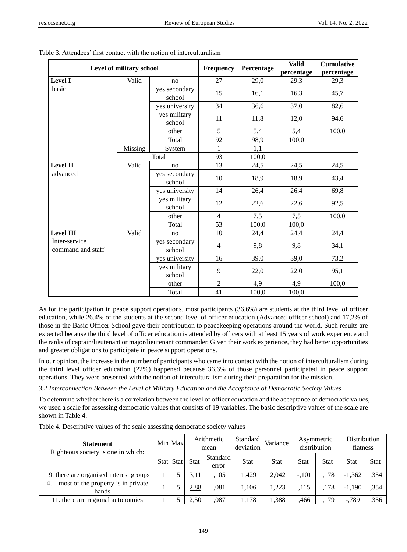|                                    | Level of military school |                         | Frequency      | Percentage | <b>Valid</b><br>percentage | <b>Cumulative</b><br>percentage |
|------------------------------------|--------------------------|-------------------------|----------------|------------|----------------------------|---------------------------------|
| <b>Level I</b>                     | Valid                    | no                      | 27             | 29,0       | 29,3                       | 29,3                            |
| basic                              |                          | yes secondary<br>school | 15             | 16,1       | 16,3                       | 45,7                            |
|                                    |                          | yes university          | 34             | 36,6       | 37,0                       | 82,6                            |
|                                    |                          | yes military<br>school  | 11             | 11,8       | 12,0                       | 94,6                            |
|                                    |                          | other                   | 5              | 5,4        | 5,4                        | 100,0                           |
|                                    |                          | Total                   | 92             | 98,9       | 100,0                      |                                 |
|                                    | Missing                  | System                  | $\mathbf{1}$   | 1,1        |                            |                                 |
|                                    |                          | Total                   | 93             | 100,0      |                            |                                 |
| <b>Level II</b>                    | Valid                    | no                      | 13             | 24,5       | 24,5                       | 24,5                            |
| advanced                           |                          | yes secondary<br>school | 10             | 18,9       | 18,9                       | 43,4                            |
|                                    |                          | yes university          | 14             | 26,4       | 26,4                       | 69,8                            |
|                                    |                          | yes military<br>school  | 12             | 22,6       | 22,6                       | 92,5                            |
|                                    |                          | other                   | $\overline{4}$ | 7,5        | 7,5                        | 100,0                           |
|                                    |                          | Total                   | 53             | 100,0      | 100,0                      |                                 |
| <b>Level III</b>                   | Valid                    | no                      | 10             | 24,4       | 24,4                       | 24,4                            |
| Inter-service<br>command and staff |                          | yes secondary<br>school | $\overline{4}$ | 9,8        | 9,8                        | 34,1                            |
|                                    |                          | yes university          | 16             | 39,0       | 39,0                       | 73,2                            |
|                                    |                          | yes military<br>school  | 9              | 22,0       | 22,0                       | 95,1                            |
|                                    |                          | other                   | $\overline{c}$ | 4,9        | 4,9                        | 100,0                           |
|                                    |                          | Total                   | 41             | 100,0      | 100,0                      |                                 |

Table 3. Attendees' first contact with the notion of interculturalism

As for the participation in peace support operations, most participants (36.6%) are students at the third level of officer education, while 26.4% of the students at the second level of officer education (Advanced officer school) and 17,2% of those in the Basic Officer School gave their contribution to peacekeeping operations around the world. Such results are expected because the third level of officer education is attended by officers with at least 15 years of work experience and the ranks of captain/lieutenant or major/lieutenant commander. Given their work experience, they had better opportunities and greater obligations to participate in peace support operations.

In our opinion, the increase in the number of participants who came into contact with the notion of interculturalism during the third level officer education (22%) happened because 36.6% of those personnel participated in peace support operations. They were presented with the notion of interculturalism during their preparation for the mission.

*3.2 Interconnection Between the Level of Military Education and the Acceptance of Democratic Society Values*

To determine whether there is a correlation between the level of officer education and the acceptance of democratic values, we used a scale for assessing democratic values that consists of 19 variables. The basic descriptive values of the scale are shown in Table 4.

| <b>Statement</b><br>Righteous society is one in which: |  | Min Max   | Arithmetic<br>mean |                   | Standard<br>deviation | Variance    | Asymmetric<br>distribution |             | Distribution<br>flatness |             |
|--------------------------------------------------------|--|-----------|--------------------|-------------------|-----------------------|-------------|----------------------------|-------------|--------------------------|-------------|
|                                                        |  | Stat Stat | <b>Stat</b>        | Standard<br>error | <b>Stat</b>           | <b>Stat</b> | Stat                       | <b>Stat</b> | <b>Stat</b>              | <b>Stat</b> |
| 19. there are organised interest groups                |  |           | 3,11               | .105              | 1,429                 | 2.042       | $-.101$                    | .178        | $-1,362$                 | ,354        |
| most of the property is in private<br>4.<br>hands      |  |           | 2,88               | ,081              | 1.106                 | 1.223       | .115                       | .178        | $-1,190$                 | ,354        |
| 11. there are regional autonomies                      |  |           | 2,50               | ,087              | 1.178                 | 1.388       | .466                       | ,179        | $-0.789$                 | ,356        |

Table 4. Descriptive values of the scale assessing democratic society values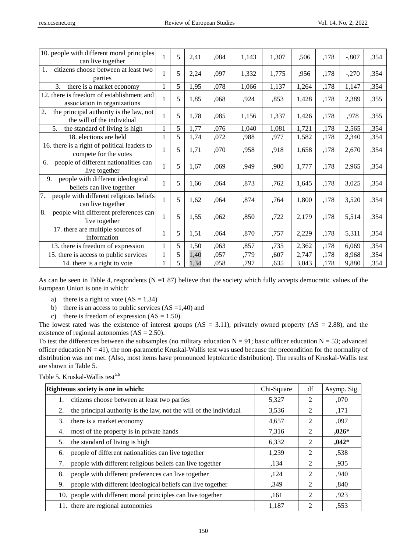| 10. people with different moral principles<br>can live together             |   | 5 | 2,41 | ,084 | 1,143 | 1,307 | ,506  | ,178 | $-.807$ | ,354 |
|-----------------------------------------------------------------------------|---|---|------|------|-------|-------|-------|------|---------|------|
| citizens choose between at least two<br>1.<br>parties                       |   | 5 | 2,24 | ,097 | 1,332 | 1,775 | ,956  | ,178 | $-.270$ | ,354 |
| there is a market economy<br>3.                                             |   | 5 | 1,95 | ,078 | 1,066 | 1,137 | 1,264 | ,178 | 1,147   | ,354 |
| 12. there is freedom of establishment and<br>association in organizations   |   | 5 | 1,85 | ,068 | ,924  | ,853  | 1,428 | ,178 | 2,389   | ,355 |
| 2.<br>the principal authority is the law, not<br>the will of the individual |   | 5 | 1,78 | ,085 | 1,156 | 1,337 | 1,426 | ,178 | ,978    | ,355 |
| the standard of living is high<br>5.                                        |   | 5 | 1,77 | ,076 | 1,040 | 1,081 | 1,721 | ,178 | 2,565   | ,354 |
| 18. elections are held                                                      | 1 | 5 | 1,74 | ,072 | ,988  | ,977  | 1,582 | ,178 | 2,340   | ,354 |
| 16. there is a right of political leaders to<br>compete for the votes       |   | 5 | 1,71 | ,070 | ,958  | ,918  | 1,658 | ,178 | 2,670   | ,354 |
| people of different nationalities can<br>6.<br>live together                |   | 5 | 1,67 | ,069 | ,949  | ,900  | 1,777 | ,178 | 2,965   | ,354 |
| 9.<br>people with different ideological<br>beliefs can live together        |   | 5 | 1,66 | ,064 | ,873  | ,762  | 1,645 | ,178 | 3,025   | ,354 |
| 7.<br>people with different religious beliefs<br>can live together          |   | 5 | 1,62 | ,064 | ,874  | ,764  | 1,800 | ,178 | 3,520   | ,354 |
| 8.<br>people with different preferences can<br>live together                |   | 5 | 1,55 | ,062 | ,850  | ,722  | 2,179 | ,178 | 5,514   | ,354 |
| 17. there are multiple sources of<br>information                            |   | 5 | 1,51 | ,064 | ,870  | ,757  | 2,229 | ,178 | 5,311   | ,354 |
| 13. there is freedom of expression                                          | 1 | 5 | 1,50 | ,063 | ,857  | ,735  | 2,362 | ,178 | 6,069   | ,354 |
| 15. there is access to public services                                      |   | 5 | 1,40 | ,057 | ,779  | ,607  | 2,747 | ,178 | 8,968   | ,354 |
| 14. there is a right to vote                                                |   | 5 | 1,34 | ,058 | ,797  | ,635  | 3,043 | ,178 | 9,880   | ,354 |

As can be seen in Table 4, respondents ( $N = 187$ ) believe that the society which fully accepts democratic values of the European Union is one in which:

- a) there is a right to vote  $(AS = 1.34)$
- b) there is an access to public services  $(AS = 1,40)$  and
- c) there is freedom of expression  $(AS = 1.50)$ .

The lowest rated was the existence of interest groups  $(AS = 3.11)$ , privately owned property  $(AS = 2.88)$ , and the existence of regional autonomies  $(AS = 2.50)$ .

To test the differences between the subsamples (no military education  $N = 91$ ; basic officer education  $N = 53$ ; advanced officer education  $N = 41$ ), the non-parametric Kruskal-Wallis test was used because the precondition for the normality of distribution was not met. (Also, most items have pronounced leptokurtic distribution). The results of Kruskal-Wallis test are shown in Table 5.

Table 5. Kruskal-Wallis testa,b

| Righteous society is one in which:                                       | Chi-Square | df             | Asymp. Sig. |
|--------------------------------------------------------------------------|------------|----------------|-------------|
| citizens choose between at least two parties<br>1.                       | 5,327      | $\mathcal{D}$  | ,070        |
| the principal authority is the law, not the will of the individual<br>2. | 3,536      | 2              | ,171        |
| there is a market economy<br>3.                                          | 4,657      | 2              | ,097        |
| most of the property is in private hands<br>4.                           | 7,316      | 2              | $,026*$     |
| the standard of living is high<br>5.                                     | 6,332      | 2              | $,042*$     |
| people of different nationalities can live together<br>6.                | 1,239      | $\mathfrak{D}$ | ,538        |
| people with different religious beliefs can live together<br>7.          | ,134       | 2              | ,935        |
| people with different preferences can live together<br>8.                | ,124       | 2              | ,940        |
| people with different ideological beliefs can live together<br>9.        | ,349       | 2              | ,840        |
| 10. people with different moral principles can live together             | .161       | $\mathcal{D}$  | ,923        |
| 11. there are regional autonomies                                        | 1,187      | $\mathfrak{D}$ | ,553        |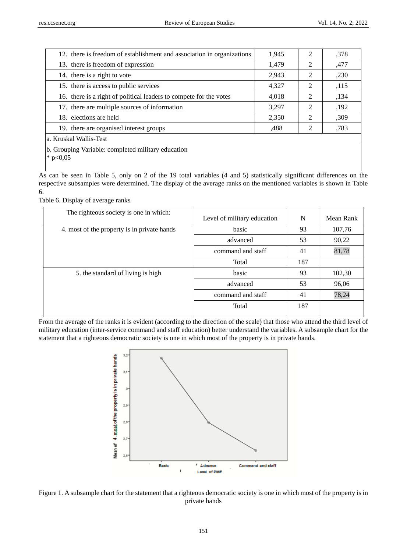| 12. there is freedom of establishment and association in organizations | 1,945 | 2              | ,378 |
|------------------------------------------------------------------------|-------|----------------|------|
| 13. there is freedom of expression                                     | 1,479 | 2              | ,477 |
| 14. there is a right to vote                                           | 2,943 | 2              | ,230 |
| 15. there is access to public services                                 | 4,327 | 2              | ,115 |
| 16. there is a right of political leaders to compete for the votes     | 4,018 | 2              | ,134 |
| 17. there are multiple sources of information                          | 3.297 | $\mathfrak{D}$ | ,192 |
| 18. elections are held                                                 | 2,350 | $\mathcal{D}$  | ,309 |
| 19. there are organised interest groups                                | .488  |                | ,783 |
| a. Kruskal Wallis-Test                                                 |       |                |      |
| b. Grouping Variable: completed military education                     |       |                |      |

 $*$  p<0,05

As can be seen in Table 5, only on 2 of the 19 total variables (4 and 5) statistically significant differences on the respective subsamples were determined. The display of the average ranks on the mentioned variables is shown in Table 6.

Table 6. Display of average ranks

| The righteous society is one in which:      | Level of military education | N   | Mean Rank |
|---------------------------------------------|-----------------------------|-----|-----------|
| 4. most of the property is in private hands | basic                       | 93  | 107,76    |
|                                             | advanced                    | 53  | 90,22     |
|                                             | command and staff           | 41  | 81,78     |
|                                             | Total                       | 187 |           |
| 5. the standard of living is high           | basic                       | 93  | 102,30    |
|                                             | advanced                    | 53  | 96,06     |
|                                             | command and staff           | 41  | 78,24     |
|                                             | Total                       | 187 |           |
|                                             |                             |     |           |

From the average of the ranks it is evident (according to the direction of the scale) that those who attend the third level of military education (inter-service command and staff education) better understand the variables. A subsample chart for the statement that a righteous democratic society is one in which most of the property is in private hands.



Figure 1. A subsample chart for the statement that a righteous democratic society is one in which most of the property is in private hands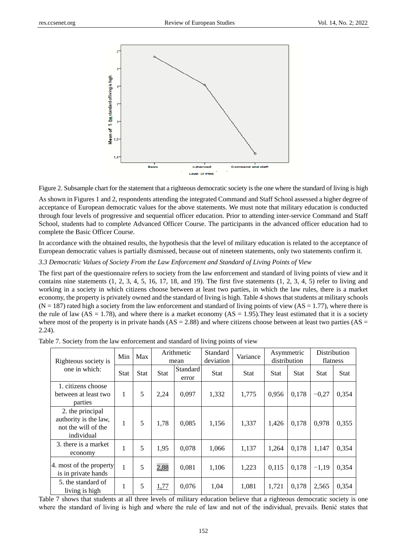

Figure 2. Subsample chart for the statement that a righteous democratic society is the one where the standard of living is high

As shown in Figures 1 and 2, respondents attending the integrated Command and Staff School assessed a higher degree of acceptance of European democratic values for the above statements. We must note that military education is conducted through four levels of progressive and sequential officer education. Prior to attending inter-service Command and Staff School, students had to complete Advanced Officer Course. The participants in the advanced officer education had to complete the Basic Officer Course.

In accordance with the obtained results, the hypothesis that the level of military education is related to the acceptance of European democratic values is partially dismissed, because out of nineteen statements, only two statements confirm it.

## *3.3 Democratic Values of Society From the Law Enforcement and Standard of Living Points of View*

The first part of the questionnaire refers to society from the law enforcement and standard of living points of view and it contains nine statements  $(1, 2, 3, 4, 5, 16, 17, 18,$  and 19). The first five statements  $(1, 2, 3, 4, 5)$  refer to living and working in a society in which citizens choose between at least two parties, in which the law rules, there is a market economy, the property is privately owned and the standard of living is high. Table 4 shows that students at military schools  $(N = 187)$  rated high a society from the law enforcement and standard of living points of view  $(AS = 1.77)$ , where there is the rule of law  $(AS = 1.78)$ , and where there is a market economy  $(AS = 1.95)$ . They least estimated that it is a society where most of the property is in private hands  $(AS = 2.88)$  and where citizens choose between at least two parties  $(AS = 1.88)$ 2.24).

|                                                                                | Min<br>Max<br>Righteous society is |             |             | Arithmetic<br>mean | Standard<br>deviation | Variance    | Asymmetric<br>distribution |             |             | <b>Distribution</b><br>flatness |
|--------------------------------------------------------------------------------|------------------------------------|-------------|-------------|--------------------|-----------------------|-------------|----------------------------|-------------|-------------|---------------------------------|
| one in which:                                                                  | <b>Stat</b>                        | <b>Stat</b> | <b>Stat</b> | Standard<br>error  | <b>Stat</b>           | <b>Stat</b> | <b>Stat</b>                | <b>Stat</b> | <b>Stat</b> | Stat                            |
| 1. citizens choose<br>between at least two<br>parties                          | 1                                  | 5           | 2,24        | 0,097              | 1,332                 | 1,775       | 0,956                      | 0,178       | $-0.27$     | 0,354                           |
| 2. the principal<br>authority is the law,<br>not the will of the<br>individual | 1                                  | 5           | 1,78        | 0,085              | 1,156                 | 1,337       | 1,426                      | 0,178       | 0,978       | 0,355                           |
| 3. there is a market<br>economy                                                | 1                                  | 5           | 1,95        | 0,078              | 1,066                 | 1,137       | 1,264                      | 0,178       | 1,147       | 0,354                           |
| 4. most of the property<br>is in private hands                                 | 1                                  | 5           | 2,88        | 0,081              | 1,106                 | 1,223       | 0,115                      | 0.178       | $-1,19$     | 0,354                           |
| 5. the standard of<br>living is high                                           | 1                                  | 5           | 1,77        | 0,076              | 1,04                  | 1,081       | 1,721                      | 0,178       | 2,565       | 0,354                           |

Table 7. Society from the law enforcement and standard of living points of view

Table 7 shows that students at all three levels of military education believe that a righteous democratic society is one where the standard of living is high and where the rule of law and not of the individual, prevails. Benić states that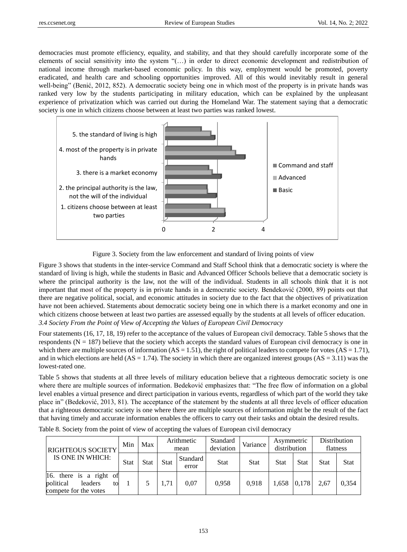democracies must promote efficiency, equality, and stability, and that they should carefully incorporate some of the elements of social sensitivity into the system "(…) in order to direct economic development and redistribution of national income through market-based economic policy. In this way, employment would be promoted, poverty eradicated, and health care and schooling opportunities improved. All of this would inevitably result in general well-being" (Benić, 2012, 852). A democratic society being one in which most of the property is in private hands was ranked very low by the students participating in military education, which can be explained by the unpleasant experience of privatization which was carried out during the Homeland War. The statement saying that a democratic society is one in which citizens choose between at least two parties was ranked lowest.



Figure 3. Society from the law enforcement and standard of living points of view

Figure 3 shows that students in the inter-service Command and Staff School think that a democratic society is where the standard of living is high, while the students in Basic and Advanced Officer Schools believe that a democratic society is where the principal authority is the law, not the will of the individual. Students in all schools think that it is not important that most of the property is in private hands in a democratic society. Bendeković (2000, 89) points out that there are negative political, social, and economic attitudes in society due to the fact that the objectives of privatization have not been achieved. Statements about democratic society being one in which there is a market economy and one in which citizens choose between at least two parties are assessed equally by the students at all levels of officer education. *3.4 Society From the Point of View of Accepting the Values of European Civil Democracy* 

Four statements (16, 17, 18, 19) refer to the acceptance of the values of European civil democracy. Table 5 shows that the respondents ( $N = 187$ ) believe that the society which accepts the standard values of European civil democracy is one in which there are multiple sources of information  $(AS = 1.51)$ , the right of political leaders to compete for votes  $(AS = 1.71)$ , and in which elections are held  $(AS = 1.74)$ . The society in which there are organized interest groups  $(AS = 3.11)$  was the lowest-rated one.

Table 5 shows that students at all three levels of military education believe that a righteous democratic society is one where there are multiple sources of information. Bedeković emphasizes that: "The free flow of information on a global level enables a virtual presence and direct participation in various events, regardless of which part of the world they take place in" (Bedeković, 2013, 81). The acceptance of the statement by the students at all three levels of officer education that a righteous democratic society is one where there are multiple sources of information might be the result of the fact that having timely and accurate information enables the officers to carry out their tasks and obtain the desired results.

| <b>RIGHTEOUS SOCIETY</b><br>IS ONE IN WHICH:                                   | Min         | Max         | Arithmetic<br>mean               |      | Standard<br>deviation | Variance | Asymmetric<br>distribution |             | Distribution<br>flatness |             |
|--------------------------------------------------------------------------------|-------------|-------------|----------------------------------|------|-----------------------|----------|----------------------------|-------------|--------------------------|-------------|
|                                                                                | <b>Stat</b> | <b>Stat</b> | Standard<br><b>Stat</b><br>error |      | <b>Stat</b>           | Stat     | <b>Stat</b>                | <b>Stat</b> | <b>Stat</b>              | <b>Stat</b> |
| 16. there is a right of<br>political<br>leaders<br>to<br>compete for the votes |             |             | 1,71                             | 0.07 | 0.958                 | 0.918    | 1.658                      | 0.178       | 2.67                     | 0.354       |

Table 8. Society from the point of view of accepting the values of European civil democracy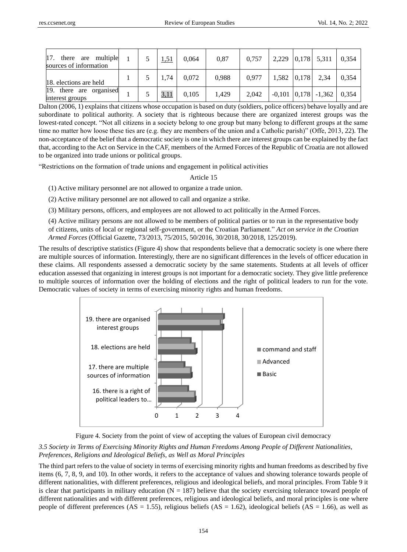| 17.<br>there are multiple<br>sources of information |  | 1,51 | 0.064 | 0.87  | 0.757 |               | $2,229$ 0,178 5,311        | 0.354 |
|-----------------------------------------------------|--|------|-------|-------|-------|---------------|----------------------------|-------|
| 18. elections are held                              |  | 1.74 | 0.072 | 0,988 | 0.977 | $1,582$ 0,178 | 2,34                       | 0.354 |
| 19. there are organised<br>interest groups          |  | 3,11 | 0.105 | 1.429 | 2.042 |               | $-0,101$ $ 0,178$ $-1,362$ | 0.354 |

Dalton (2006, 1) explains that citizens whose occupation is based on duty (soldiers, police officers) behave loyally and are subordinate to political authority. A society that is righteous because there are organized interest groups was the lowest-rated concept. "Not all citizens in a society belong to one group but many belong to different groups at the same time no matter how loose these ties are (e.g. they are members of the union and a Catholic parish)" (Offe, 2013, 22). The non-acceptance of the belief that a democratic society is one in which there are interest groups can be explained by the fact that, according to the Act on Service in the CAF, members of the Armed Forces of the Republic of Croatia are not allowed to be organized into trade unions or political groups.

"Restrictions on the formation of trade unions and engagement in political activities

Article 15

(1) Active military personnel are not allowed to organize a trade union.

(2) Active military personnel are not allowed to call and organize a strike.

(3) Military persons, officers, and employees are not allowed to act politically in the Armed Forces.

(4) Active military persons are not allowed to be members of political parties or to run in the representative body of citizens, units of local or regional self-government, or the Croatian Parliament." *Act on service in the Croatian Armed Forces* (Official Gazette, [73/2013,](https://www.zakon.hr/cms.htm?id=11772) [75/2015,](https://www.zakon.hr/cms.htm?id=11774) [50/2016,](https://www.zakon.hr/cms.htm?id=16808) [30/2018,](https://www.zakon.hr/cms.htm?id=27661) 30/2018, 125/2019).

The results of descriptive statistics (Figure 4) show that respondents believe that a democratic society is one where there are multiple sources of information. Interestingly, there are no significant differences in the levels of officer education in these claims. All respondents assessed a democratic society by the same statements. Students at all levels of officer education assessed that organizing in interest groups is not important for a democratic society. They give little preference to multiple sources of information over the holding of elections and the right of political leaders to run for the vote. Democratic values of society in terms of exercising minority rights and human freedoms.



Figure 4. Society from the point of view of accepting the values of European civil democracy

# *3.5 Society in Terms of Exercising Minority Rights and Human Freedoms Among People of Different Nationalities, Preferences, Religions and Ideological Beliefs, as Well as Moral Principles*

The third part refers to the value of society in terms of exercising minority rights and human freedoms as described by five items (6, 7, 8, 9, and 10). In other words, it refers to the acceptance of values and showing tolerance towards people of different nationalities, with different preferences, religious and ideological beliefs, and moral principles. From Table 9 it is clear that participants in military education  $(N = 187)$  believe that the society exercising tolerance toward people of different nationalities and with different preferences, religious and ideological beliefs, and moral principles is one where people of different preferences (AS = 1.55), religious beliefs (AS = 1.62), ideological beliefs (AS = 1.66), as well as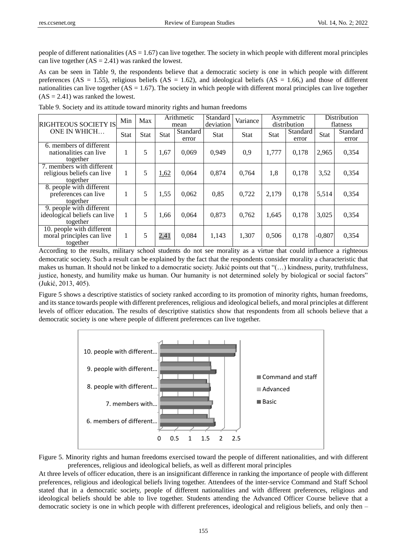people of different nationalities  $(AS = 1.67)$  can live together. The society in which people with different moral principles can live together  $(AS = 2.41)$  was ranked the lowest.

As can be seen in Table 9, the respondents believe that a democratic society is one in which people with different preferences (AS = 1.55), religious beliefs (AS = 1.62), and ideological beliefs (AS = 1.66) and those of different nationalities can live together  $(AS = 1.67)$ . The society in which people with different moral principles can live together  $(AS = 2.41)$  was ranked the lowest.

| <b>RIGHTEOUS SOCIETY IS</b>                                          | Min         | Max         | Arithmetic<br>mean |                   | Standard<br>deviation | Variance    |             | Asymmetric<br>distribution | Distribution<br>flatness |                   |
|----------------------------------------------------------------------|-------------|-------------|--------------------|-------------------|-----------------------|-------------|-------------|----------------------------|--------------------------|-------------------|
| ONE IN WHICH                                                         | <b>Stat</b> | <b>Stat</b> | <b>Stat</b>        | Standard<br>error | <b>Stat</b>           | <b>Stat</b> | <b>Stat</b> | Standard<br>error          | <b>Stat</b>              | Standard<br>error |
| 6. members of different<br>nationalities can live<br>together        |             | 5           | 1,67               | 0,069             | 0.949                 | 0,9         | 1,777       | 0,178                      | 2,965                    | 0,354             |
| 7. members with different<br>religious beliefs can live<br>together  |             | 5           | 1,62               | 0,064             | 0,874                 | 0.764       | 1,8         | 0,178                      | 3,52                     | 0,354             |
| 8. people with different<br>preferences can live<br>together         |             | 5           | 1,55               | 0.062             | 0,85                  | 0,722       | 2.179       | 0,178                      | 5,514                    | 0.354             |
| 9. people with different<br>ideological beliefs can live<br>together |             | 5           | 1,66               | 0,064             | 0.873                 | 0.762       | 1,645       | 0,178                      | 3,025                    | 0,354             |
| 10. people with different<br>moral principles can live<br>together   |             | 5           | 2,41               | 0,084             | 1,143                 | 1,307       | 0,506       | 0,178                      | $-0,807$                 | 0,354             |

Table 9. Society and its attitude toward minority rights and human freedoms

According to the results, military school students do not see morality as a virtue that could influence a righteous democratic society. Such a result can be explained by the fact that the respondents consider morality a characteristic that makes us human. It should not be linked to a democratic society. Jukić points out that "(…) kindness, purity, truthfulness, justice, honesty, and humility make us human. Our humanity is not determined solely by biological or social factors" (Jukić, 2013, 405).

Figure 5 shows a descriptive statistics of society ranked according to its promotion of minority rights, human freedoms, and its stance towards people with different preferences, religious and ideological beliefs, and moral principles at different levels of officer education. The results of descriptive statistics show that respondents from all schools believe that a democratic society is one where people of different preferences can live together.



Figure 5. Minority rights and human freedoms exercised toward the people of different nationalities, and with different preferences, religious and ideological beliefs, as well as different moral principles

At three levels of officer education, there is an insignificant difference in ranking the importance of people with different preferences, religious and ideological beliefs living together. Attendees of the inter-service Command and Staff School stated that in a democratic society, people of different nationalities and with different preferences, religious and ideological beliefs should be able to live together. Students attending the Advanced Officer Course believe that a democratic society is one in which people with different preferences, ideological and religious beliefs, and only then –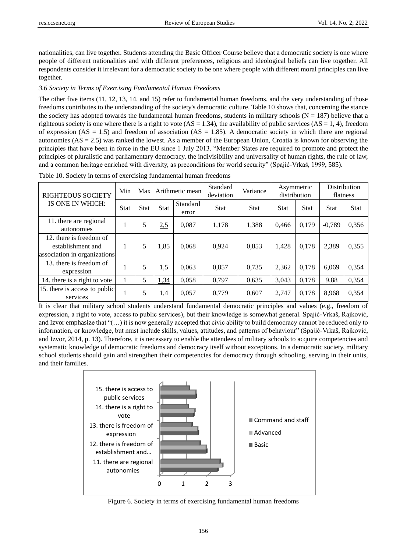nationalities, can live together. Students attending the Basic Officer Course believe that a democratic society is one where people of different nationalities and with different preferences, religious and ideological beliefs can live together. All respondents consider it irrelevant for a democratic society to be one where people with different moral principles can live together.

### *3.6 Society in Terms of Exercising Fundamental Human Freedoms*

The other five items (11, 12, 13, 14, and 15) refer to fundamental human freedoms, and the very understanding of those freedoms contributes to the understanding of the society's democratic culture. Table 10 shows that, concerning the stance the society has adopted towards the fundamental human freedoms, students in military schools ( $N = 187$ ) believe that a righteous society is one where there is a right to vote  $(AS = 1.34)$ , the availability of public services  $(AS = 1, 4)$ , freedom of expression ( $AS = 1.5$ ) and freedom of association ( $AS = 1.85$ ). A democratic society in which there are regional autonomies ( $AS = 2.5$ ) was ranked the lowest. As a member of the European Union, Croatia is known for observing the principles that have been in force in the EU since 1 July 2013. "Member States are required to promote and protect the principles of pluralistic and parliamentary democracy, the indivisibility and universality of human rights, the rule of law, and a common heritage enriched with diversity, as preconditions for world security" (Spajić-Vrkaš, 1999, 585).

| <b>RIGHTEOUS SOCIETY</b><br>IS ONE IN WHICH:                                 | Min         | Max         | Arithmetic mean |                   | Standard<br>deviation | Variance    | Asymmetric<br>distribution |             | Distribution<br>flatness |             |
|------------------------------------------------------------------------------|-------------|-------------|-----------------|-------------------|-----------------------|-------------|----------------------------|-------------|--------------------------|-------------|
|                                                                              | <b>Stat</b> | <b>Stat</b> | <b>Stat</b>     | Standard<br>error | <b>Stat</b>           | <b>Stat</b> | <b>Stat</b>                | <b>Stat</b> | <b>Stat</b>              | <b>Stat</b> |
| 11. there are regional<br>autonomies                                         |             | 5           | 2,5             | 0.087             | 1,178                 | 1,388       | 0.466                      | 0.179       | $-0.789$                 | 0,356       |
| 12. there is freedom of<br>establishment and<br>association in organizations |             | 5           | 1,85            | 0,068             | 0.924                 | 0,853       | 1,428                      | 0,178       | 2,389                    | 0,355       |
| 13. there is freedom of<br>expression                                        |             | 5           | 1,5             | 0,063             | 0,857                 | 0,735       | 2,362                      | 0.178       | 6,069                    | 0,354       |
| 14. there is a right to vote                                                 |             | 5           | 1,34            | 0,058             | 0,797                 | 0,635       | 3,043                      | 0,178       | 9,88                     | 0,354       |
| 15. there is access to public<br>services                                    |             | 5           | 1,4             | 0,057             | 0.779                 | 0,607       | 2.747                      | 0.178       | 8,968                    | 0,354       |

Table 10. Society in terms of exercising fundamental human freedoms

It is clear that military school students understand fundamental democratic principles and values (e.g., freedom of expression, a right to vote, access to public services), but their knowledge is somewhat general. Spajić-Vrkaš, Rajković, and Izvor emphasize that "(…) it is now generally accepted that civic ability to build democracy cannot be reduced only to information, or knowledge, but must include skills, values, attitudes, and patterns of behaviour" (Spajić-Vrkaš, Rajković, and Izvor, 2014, p. 13). Therefore, it is necessary to enable the attendees of military schools to acquire competencies and systematic knowledge of democratic freedoms and democracy itself without exceptions. In a democratic society, military school students should gain and strengthen their competencies for democracy through schooling, serving in their units, and their families.



Figure 6. Society in terms of exercising fundamental human freedoms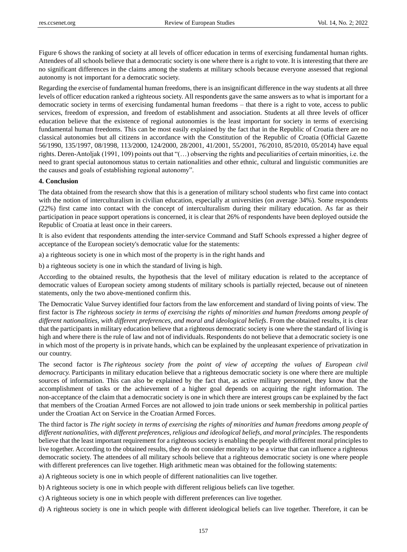Figure 6 shows the ranking of society at all levels of officer education in terms of exercising fundamental human rights. Attendees of all schools believe that a democratic society is one where there is a right to vote. It is interesting that there are no significant differences in the claims among the students at military schools because everyone assessed that regional autonomy is not important for a democratic society.

Regarding the exercise of fundamental human freedoms, there is an insignificant difference in the way students at all three levels of officer education ranked a righteous society. All respondents gave the same answers as to what is important for a democratic society in terms of exercising fundamental human freedoms – that there is a right to vote, access to public services, freedom of expression, and freedom of establishment and association. Students at all three levels of officer education believe that the existence of regional autonomies is the least important for society in terms of exercising fundamental human freedoms. This can be most easily explained by the fact that in the Republic of Croatia there are no classical autonomies but all citizens in accordance with the Constitution of the Republic of Croatia (Official Gazette 56/1990, 135/1997, 08/1998, 113/2000, 124/2000, 28/2001, 41/2001, 55/2001, 76/2010, 85/2010, 05/2014) have equal rights. Deren-Antoljak (1991, 109) points out that "(…) observing the rights and peculiarities of certain minorities, i.e. the need to grant special autonomous status to certain nationalities and other ethnic, cultural and linguistic communities are the causes and goals of establishing regional autonomy".

#### **4. Conclusion**

The data obtained from the research show that this is a generation of military school students who first came into contact with the notion of interculturalism in civilian education, especially at universities (on average 34%). Some respondents (22%) first came into contact with the concept of interculturalism during their military education. As far as their participation in peace support operations is concerned, it is clear that 26% of respondents have been deployed outside the Republic of Croatia at least once in their careers.

It is also evident that respondents attending the inter-service Command and Staff Schools expressed a higher degree of acceptance of the European society's democratic value for the statements:

a) a righteous society is one in which most of the property is in the right hands and

b) a righteous society is one in which the standard of living is high.

According to the obtained results, the hypothesis that the level of military education is related to the acceptance of democratic values of European society among students of military schools is partially rejected, because out of nineteen statements, only the two above-mentioned confirm this.

The Democratic Value Survey identified four factors from the law enforcement and standard of living points of view. The first factor is *The righteous society in terms of exercising the rights of minorities and human freedoms among people of different nationalities, with different preferences, and moral and ideological beliefs*. From the obtained results, it is clear that the participants in military education believe that a righteous democratic society is one where the standard of living is high and where there is the rule of law and not of individuals. Respondents do not believe that a democratic society is one in which most of the property is in private hands, which can be explained by the unpleasant experience of privatization in our country.

The second factor is *The righteous society from the point of view of accepting the values of European civil democracy.* Participants in military education believe that a righteous democratic society is one where there are multiple sources of information. This can also be explained by the fact that, as active military personnel, they know that the accomplishment of tasks or the achievement of a higher goal depends on acquiring the right information. The non-acceptance of the claim that a democratic society is one in which there are interest groups can be explained by the fact that members of the Croatian Armed Forces are not allowed to join trade unions or seek membership in political parties under the Croatian Act on Service in the Croatian Armed Forces.

The third factor is *The right society in terms of exercising the rights of minorities and human freedoms among people of different nationalities, with different preferences, religious and ideological beliefs, and moral principles*. The respondents believe that the least important requirement for a righteous society is enabling the people with different moral principles to live together. According to the obtained results, they do not consider morality to be a virtue that can influence a righteous democratic society. The attendees of all military schools believe that a righteous democratic society is one where people with different preferences can live together. High arithmetic mean was obtained for the following statements:

a) A righteous society is one in which people of different nationalities can live together.

b) A righteous society is one in which people with different religious beliefs can live together.

c) A righteous society is one in which people with different preferences can live together.

d) A righteous society is one in which people with different ideological beliefs can live together. Therefore, it can be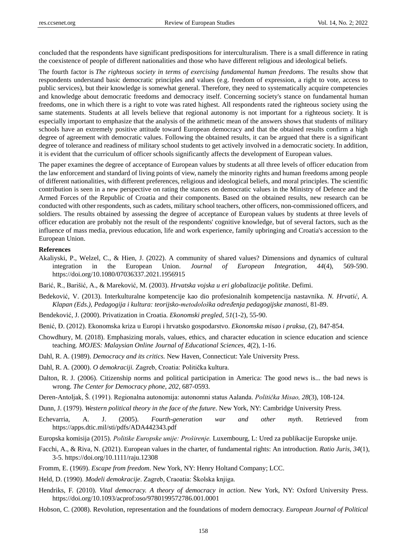concluded that the respondents have significant predispositions for interculturalism. There is a small difference in rating the coexistence of people of different nationalities and those who have different religious and ideological beliefs.

The fourth factor is *The righteous society in terms of exercising fundamental human freedoms*. The results show that respondents understand basic democratic principles and values (e.g. freedom of expression, a right to vote, access to public services), but their knowledge is somewhat general. Therefore, they need to systematically acquire competencies and knowledge about democratic freedoms and democracy itself. Concerning society's stance on fundamental human freedoms, one in which there is a right to vote was rated highest. All respondents rated the righteous society using the same statements. Students at all levels believe that regional autonomy is not important for a righteous society. It is especially important to emphasize that the analysis of the arithmetic mean of the answers shows that students of military schools have an extremely positive attitude toward European democracy and that the obtained results confirm a high degree of agreement with democratic values. Following the obtained results, it can be argued that there is a significant degree of tolerance and readiness of military school students to get actively involved in a democratic society. In addition, it is evident that the curriculum of officer schools significantly affects the development of European values.

The paper examines the degree of acceptance of European values by students at all three levels of officer education from the law enforcement and standard of living points of view, namely the minority rights and human freedoms among people of different nationalities, with different preferences, religious and ideological beliefs, and moral principles. The scientific contribution is seen in a new perspective on rating the stances on democratic values in the Ministry of Defence and the Armed Forces of the Republic of Croatia and their components. Based on the obtained results, new research can be conducted with other respondents, such as cadets, military school teachers, other officers, non-commissioned officers, and soldiers. The results obtained by assessing the degree of acceptance of European values by students at three levels of officer education are probably not the result of the respondents' cognitive knowledge, but of several factors, such as the influence of mass media, previous education, life and work experience, family upbringing and Croatia's accession to the European Union.

#### **References**

- Akaliyski, P., Welzel, C., & Hien, J. (2022). A community of shared values? Dimensions and dynamics of cultural integration in the European Union. *Journal of European Integration*, *44*(4), 569-590. <https://doi.org/10.1080/07036337.2021.1956915>
- Barić, R., Barišić, A., & Mareković, M. (2003). *Hrvatska vojska u eri globalizacije politike*. Defimi.
- Bedeković, V. (2013). Interkulturalne kompetencije kao dio profesionalnih kompetencija nastavnika. *N. Hrvatić, A. Klapan (Eds.), Pedagogija i kultura: teorijsko-metodološka određenja pedagogijske znanosti*, 81-89.
- Bendeković, J. (2000). Privatization in Croatia. *Ekonomski pregled*, *51*(1-2), 55-90.
- Benić, Đ. (2012). Ekonomska kriza u Europi i hrvatsko gospodarstvo. *Ekonomska misao i praksa*, (2), 847-854.
- Chowdhury, M. (2018). Emphasizing morals, values, ethics, and character education in science education and science teaching. *MOJES: Malaysian Online Journal of Educational Sciences*, *4*(2), 1-16.
- Dahl, R. A. (1989). *Democracy and its critics.* New Haven, Connecticut: Yale University Press.
- Dahl, R. A. (2000). *O demokraciji.* Zagreb, Croatia: Politička kultura.
- Dalton, R. J. (2006). Citizenship norms and political participation in America: The good news is... the bad news is wrong. *The Center for Democracy phone*, *202*, 687-0593.
- Deren-Antoljak, Š. (1991). Regionalna autonomija: autonomni status Aalanda. *Politička Misao, 28*(3), 108-124.
- Dunn, J. (1979). *Western political theory in the face of the future*. New York, NY: Cambridge University Press.
- Echevarria, A. J. (2005). *Fourth-generation war and other myth*. Retrieved from <https://apps.dtic.mil/sti/pdfs/ADA442343.pdf>
- Europska komisija (2015). *Politike Europske unije: Proširenje.* Luxembourg, L: Ured za publikacije Europske unije.
- Facchi, A., & Riva, N. (2021). European values in the charter, of fundamental rights: An introduction. *Ratio Juris, 34*(1), 3-5. <https://doi.org/10.1111/raju.12308>
- Fromm, E. (1969). *Escape from freedom*. New York, NY: Henry Holtand Company; LCC.
- Held, D. (1990). *Modeli demokracije*. Zagreb, Craoatia: Školska knjiga.
- Hendriks, F. (2010). *Vital democracy. A theory of democracy in action*. New York, NY: Oxford University Press. <https://doi.org/10.1093/acprof:oso/9780199572786.001.0001>
- Hobson, C. (2008). Revolution, representation and the foundations of modern democracy. *European Journal of Political*